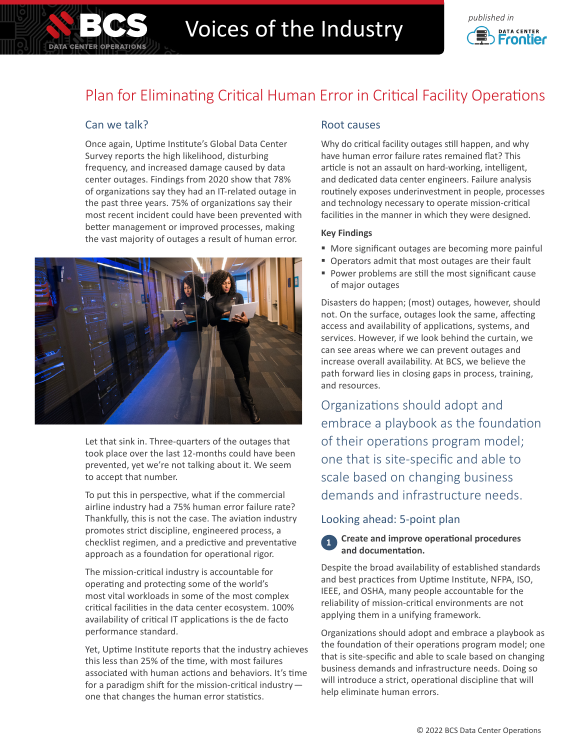

# Voices of the Industry **Construction**



# Plan for Eliminating Critical Human Error in Critical Facility Operations

## Can we talk?

Once again, Uptime Institute's Global Data Center Survey reports the high likelihood, disturbing frequency, and increased damage caused by data center outages. Findings from 2020 show that 78% of organizations say they had an IT-related outage in the past three years. 75% of organizations say their most recent incident could have been prevented with better management or improved processes, making the vast majority of outages a result of human error.



Let that sink in. Three-quarters of the outages that took place over the last 12-months could have been prevented, yet we're not talking about it. We seem to accept that number.

To put this in perspective, what if the commercial airline industry had a 75% human error failure rate? Thankfully, this is not the case. The aviation industry promotes strict discipline, engineered process, a checklist regimen, and a predictive and preventative approach as a foundation for operational rigor.

The mission-critical industry is accountable for operating and protecting some of the world's most vital workloads in some of the most complex critical facilities in the data center ecosystem. 100% availability of critical IT applications is the de facto performance standard.

Yet, Uptime Institute reports that the industry achieves this less than 25% of the time, with most failures associated with human actions and behaviors. It's time for a paradigm shift for the mission-critical industry one that changes the human error statistics.

### Root causes

Why do critical facility outages still happen, and why have human error failure rates remained flat? This article is not an assault on hard-working, intelligent, and dedicated data center engineers. Failure analysis routinely exposes underinvestment in people, processes and technology necessary to operate mission-critical facilities in the manner in which they were designed.

#### **Key Findings**

- More significant outages are becoming more painful
- **Operators admit that most outages are their fault**
- Power problems are still the most significant cause of major outages

Disasters do happen; (most) outages, however, should not. On the surface, outages look the same, affecting access and availability of applications, systems, and services. However, if we look behind the curtain, we can see areas where we can prevent outages and increase overall availability. At BCS, we believe the path forward lies in closing gaps in process, training, and resources.

Organizations should adopt and embrace a playbook as the foundation of their operations program model; one that is site-specific and able to scale based on changing business demands and infrastructure needs.

#### Looking ahead: 5-point plan



#### **Create and improve operational procedures and documentation.**

Despite the broad availability of established standards and best practices from Uptime Institute, NFPA, ISO, IEEE, and OSHA, many people accountable for the reliability of mission-critical environments are not applying them in a unifying framework.

Organizations should adopt and embrace a playbook as the foundation of their operations program model; one that is site-specific and able to scale based on changing business demands and infrastructure needs. Doing so will introduce a strict, operational discipline that will help eliminate human errors.